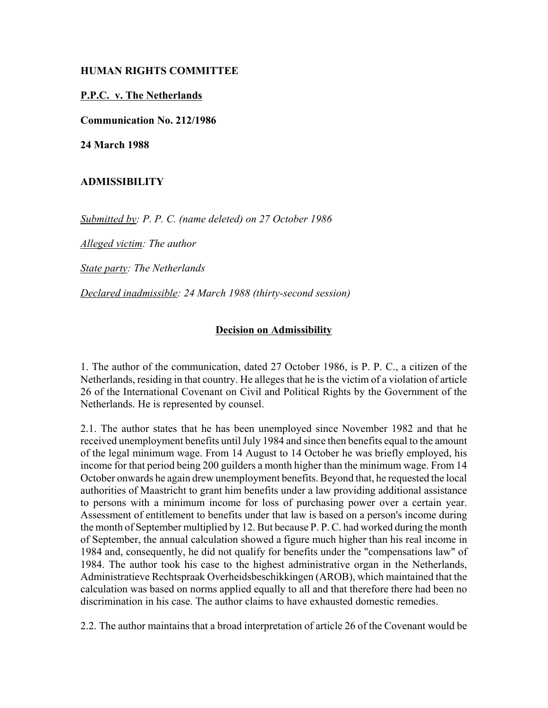## **HUMAN RIGHTS COMMITTEE**

## **P.P.C. v. The Netherlands**

**Communication No. 212/1986**

**24 March 1988**

## **ADMISSIBILITY**

*Submitted by: P. P. C. (name deleted) on 27 October 1986*

*Alleged victim: The author*

*State party: The Netherlands*

*Declared inadmissible: 24 March 1988 (thirty-second session)*

## **Decision on Admissibility**

1. The author of the communication, dated 27 October 1986, is P. P. C., a citizen of the Netherlands, residing in that country. He alleges that he is the victim of a violation of article 26 of the International Covenant on Civil and Political Rights by the Government of the Netherlands. He is represented by counsel.

2.1. The author states that he has been unemployed since November 1982 and that he received unemployment benefits until July 1984 and since then benefits equal to the amount of the legal minimum wage. From 14 August to 14 October he was briefly employed, his income for that period being 200 guilders a month higher than the minimum wage. From 14 October onwards he again drew unemployment benefits. Beyond that, he requested the local authorities of Maastricht to grant him benefits under a law providing additional assistance to persons with a minimum income for loss of purchasing power over a certain year. Assessment of entitlement to benefits under that law is based on a person's income during the month of September multiplied by 12. But because P. P. C. had worked during the month of September, the annual calculation showed a figure much higher than his real income in 1984 and, consequently, he did not qualify for benefits under the "compensations law" of 1984. The author took his case to the highest administrative organ in the Netherlands, Administratieve Rechtspraak Overheidsbeschikkingen (AROB), which maintained that the calculation was based on norms applied equally to all and that therefore there had been no discrimination in his case. The author claims to have exhausted domestic remedies.

2.2. The author maintains that a broad interpretation of article 26 of the Covenant would be